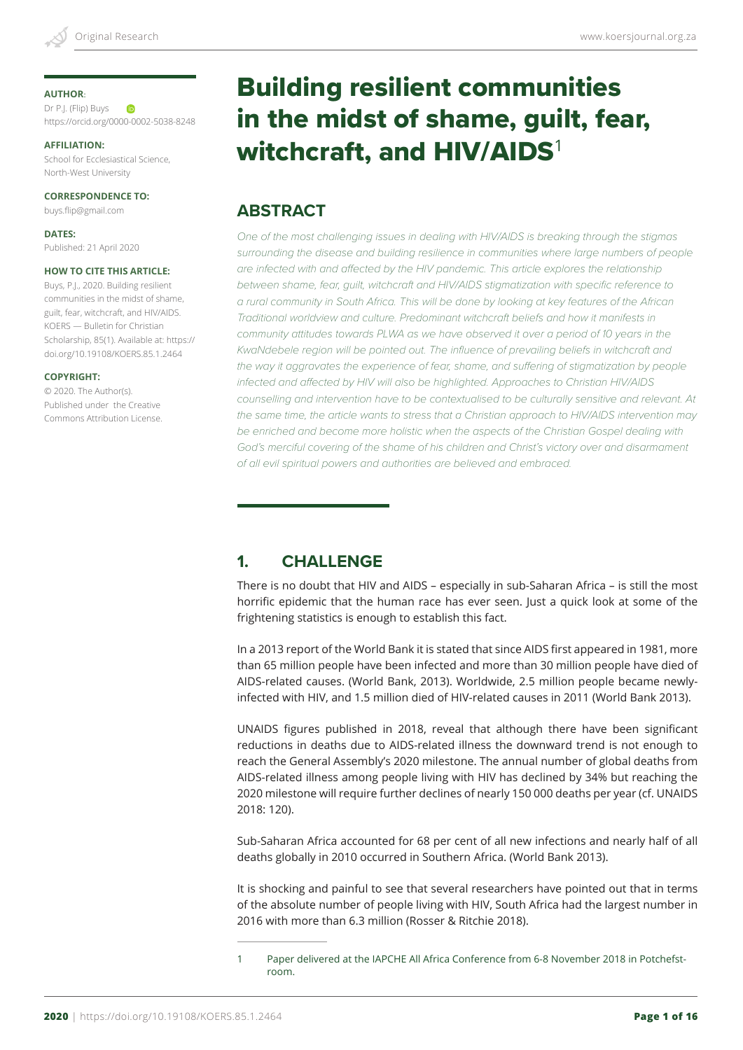#### **AUTHOR**:

Dr P.J. (Flip) Buys **ID** https://orcid.org/0000-0002-5038-8248

**AFFILIATION:**

School for Ecclesiastical Science, North-West University

**CORRESPONDENCE TO:**

buys.flip@gmail.com

**DATES:** Published: 21 April 2020

#### **HOW TO CITE THIS ARTICLE:**

Buys, P.J., 2020. Building resilient communities in the midst of shame, guilt, fear, witchcraft, and HIV/AIDS. KOERS — Bulletin for Christian Scholarship, 85(1). Available at: https:// doi.org/10.19108/KOERS.85.1.2464

#### **COPYRIGHT:**

© 2020. The Author(s). Published under the Creative Commons Attribution License.

# Building resilient communities in the midst of shame, guilt, fear, witchcraft, and  $HIV/AIDS<sup>1</sup>$

# **ABSTRACT**

*One of the most challenging issues in dealing with HIV/AIDS is breaking through the stigmas surrounding the disease and building resilience in communities where large numbers of people are infected with and affected by the HIV pandemic. This article explores the relationship between shame, fear, guilt, witchcraft and HIV/AIDS stigmatization with specific reference to a rural community in South Africa. This will be done by looking at key features of the African Traditional worldview and culture. Predominant witchcraft beliefs and how it manifests in community attitudes towards PLWA as we have observed it over a period of 10 years in the KwaNdebele region will be pointed out. The influence of prevailing beliefs in witchcraft and the way it aggravates the experience of fear, shame, and suffering of stigmatization by people infected and affected by HIV will also be highlighted. Approaches to Christian HIV/AIDS counselling and intervention have to be contextualised to be culturally sensitive and relevant. At the same time, the article wants to stress that a Christian approach to HIV/AIDS intervention may be enriched and become more holistic when the aspects of the Christian Gospel dealing with*  God's merciful covering of the shame of his children and Christ's victory over and disarmament *of all evil spiritual powers and authorities are believed and embraced.* 

# **1. CHALLENGE**

There is no doubt that HIV and AIDS – especially in sub-Saharan Africa – is still the most horrific epidemic that the human race has ever seen. Just a quick look at some of the frightening statistics is enough to establish this fact.

In a 2013 report of the World Bank it is stated that since AIDS first appeared in 1981, more than 65 million people have been infected and more than 30 million people have died of AIDS-related causes. (World Bank, 2013). Worldwide, 2.5 million people became newlyinfected with HIV, and 1.5 million died of HIV-related causes in 2011 (World Bank 2013).

UNAIDS figures published in 2018, reveal that although there have been significant reductions in deaths due to AIDS-related illness the downward trend is not enough to reach the General Assembly's 2020 milestone. The annual number of global deaths from AIDS-related illness among people living with HIV has declined by 34% but reaching the 2020 milestone will require further declines of nearly 150 000 deaths per year (cf. UNAIDS 2018: 120).

Sub-Saharan Africa accounted for 68 per cent of all new infections and nearly half of all deaths globally in 2010 occurred in Southern Africa. (World Bank 2013).

It is shocking and painful to see that several researchers have pointed out that in terms of the absolute number of people living with HIV, South Africa had the largest number in 2016 with more than 6.3 million (Rosser & Ritchie 2018).

<sup>1</sup> Paper delivered at the IAPCHE All Africa Conference from 6-8 November 2018 in Potchefstroom.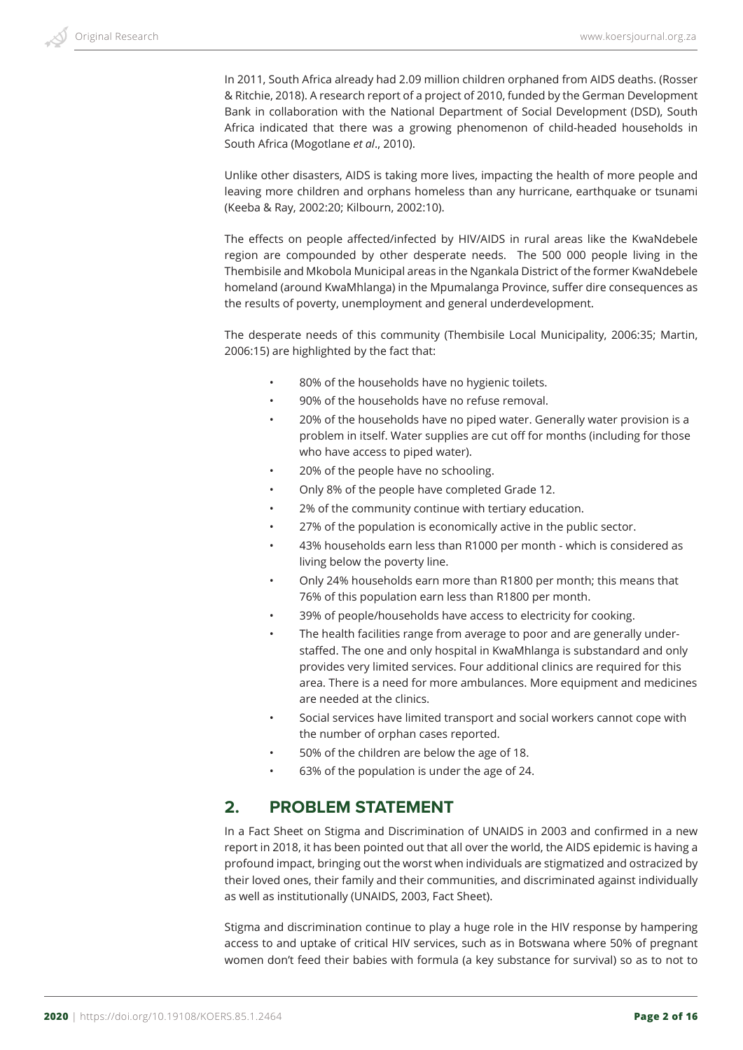In 2011, South Africa already had 2.09 million children orphaned from AIDS deaths. (Rosser & Ritchie, 2018). A research report of a project of 2010, funded by the German Development Bank in collaboration with the National Department of Social Development (DSD), South Africa indicated that there was a growing phenomenon of child-headed households in South Africa (Mogotlane *et al*., 2010).

Unlike other disasters, AIDS is taking more lives, impacting the health of more people and leaving more children and orphans homeless than any hurricane, earthquake or tsunami (Keeba & Ray, 2002:20; Kilbourn, 2002:10).

The effects on people affected/infected by HIV/AIDS in rural areas like the KwaNdebele region are compounded by other desperate needs. The 500 000 people living in the Thembisile and Mkobola Municipal areas in the Ngankala District of the former KwaNdebele homeland (around KwaMhlanga) in the Mpumalanga Province, suffer dire consequences as the results of poverty, unemployment and general underdevelopment.

The desperate needs of this community (Thembisile Local Municipality, 2006:35; Martin, 2006:15) are highlighted by the fact that:

- 80% of the households have no hygienic toilets.
- 90% of the households have no refuse removal.
- 20% of the households have no piped water. Generally water provision is a problem in itself. Water supplies are cut off for months (including for those who have access to piped water).
- 20% of the people have no schooling.
- Only 8% of the people have completed Grade 12.
- 2% of the community continue with tertiary education.
- 27% of the population is economically active in the public sector.
- 43% households earn less than R1000 per month which is considered as living below the poverty line.
- Only 24% households earn more than R1800 per month; this means that 76% of this population earn less than R1800 per month.
- 39% of people/households have access to electricity for cooking.
- The health facilities range from average to poor and are generally understaffed. The one and only hospital in KwaMhlanga is substandard and only provides very limited services. Four additional clinics are required for this area. There is a need for more ambulances. More equipment and medicines are needed at the clinics.
- Social services have limited transport and social workers cannot cope with the number of orphan cases reported.
- 50% of the children are below the age of 18.
- 63% of the population is under the age of 24.

## **2. PROBLEM STATEMENT**

In a Fact Sheet on Stigma and Discrimination of UNAIDS in 2003 and confirmed in a new report in 2018, it has been pointed out that all over the world, the AIDS epidemic is having a profound impact, bringing out the worst when individuals are stigmatized and ostracized by their loved ones, their family and their communities, and discriminated against individually as well as institutionally (UNAIDS, 2003, Fact Sheet).

Stigma and discrimination continue to play a huge role in the HIV response by hampering access to and uptake of critical HIV services, such as in Botswana where 50% of pregnant women don't feed their babies with formula (a key substance for survival) so as to not to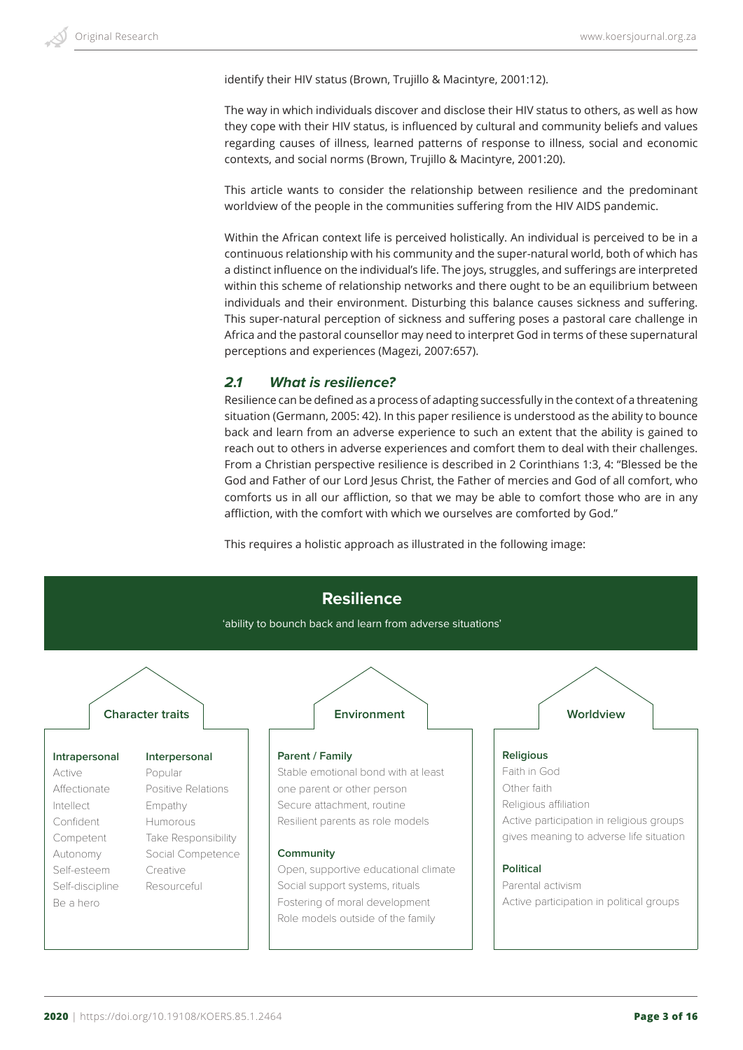identify their HIV status (Brown, Trujillo & Macintyre, 2001:12).

The way in which individuals discover and disclose their HIV status to others, as well as how they cope with their HIV status, is influenced by cultural and community beliefs and values regarding causes of illness, learned patterns of response to illness, social and economic contexts, and social norms (Brown, Trujillo & Macintyre, 2001:20).

This article wants to consider the relationship between resilience and the predominant worldview of the people in the communities suffering from the HIV AIDS pandemic.

Within the African context life is perceived holistically. An individual is perceived to be in a continuous relationship with his community and the super-natural world, both of which has a distinct influence on the individual's life. The joys, struggles, and sufferings are interpreted within this scheme of relationship networks and there ought to be an equilibrium between individuals and their environment. Disturbing this balance causes sickness and suffering. This super-natural perception of sickness and suffering poses a pastoral care challenge in Africa and the pastoral counsellor may need to interpret God in terms of these supernatural perceptions and experiences (Magezi, 2007:657).

## *2.1 What is resilience?*

Resilience can be defined as a process of adapting successfully in the context of a threatening situation (Germann, 2005: 42). In this paper resilience is understood as the ability to bounce back and learn from an adverse experience to such an extent that the ability is gained to reach out to others in adverse experiences and comfort them to deal with their challenges. From a Christian perspective resilience is described in 2 Corinthians 1:3, 4: "Blessed be the God and Father of our Lord Jesus Christ, the Father of mercies and God of all comfort, who comforts us in all our affliction, so that we may be able to comfort those who are in any affliction, with the comfort with which we ourselves are comforted by God."

This requires a holistic approach as illustrated in the following image:

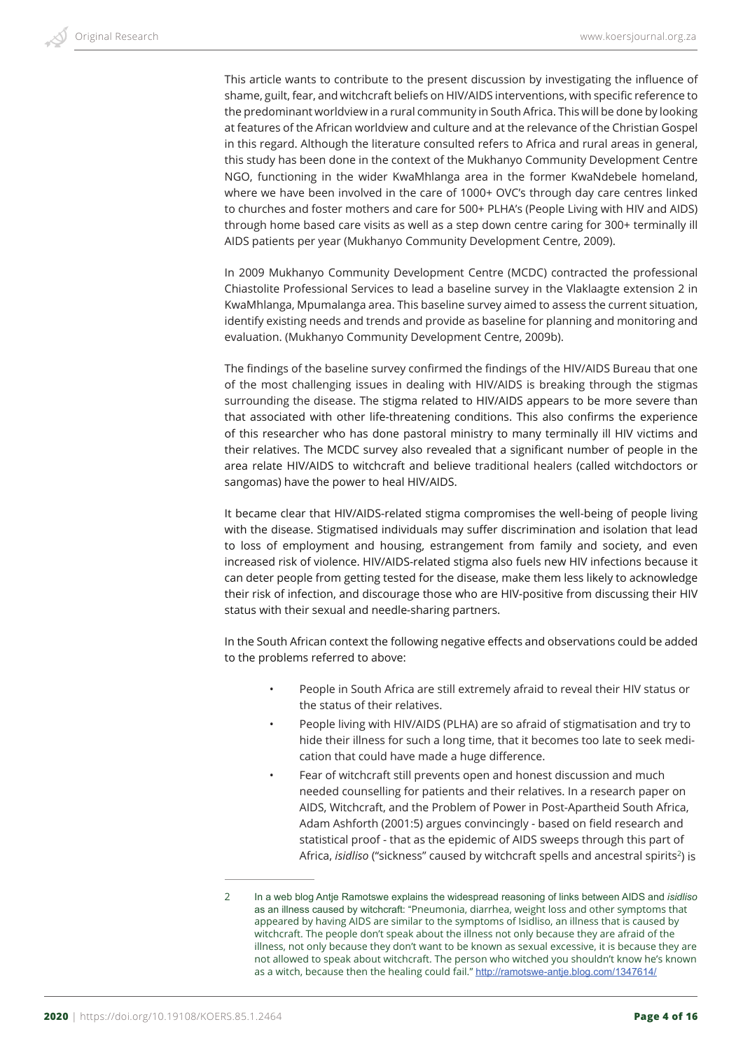This article wants to contribute to the present discussion by investigating the influence of shame, guilt, fear, and witchcraft beliefs on HIV/AIDS interventions, with specific reference to the predominant worldview in a rural community in South Africa. This will be done by looking at features of the African worldview and culture and at the relevance of the Christian Gospel in this regard. Although the literature consulted refers to Africa and rural areas in general, this study has been done in the context of the Mukhanyo Community Development Centre NGO, functioning in the wider KwaMhlanga area in the former KwaNdebele homeland, where we have been involved in the care of 1000+ OVC's through day care centres linked to churches and foster mothers and care for 500+ PLHA's (People Living with HIV and AIDS) through home based care visits as well as a step down centre caring for 300+ terminally ill AIDS patients per year (Mukhanyo Community Development Centre, 2009).

In 2009 Mukhanyo Community Development Centre (MCDC) contracted the professional Chiastolite Professional Services to lead a baseline survey in the Vlaklaagte extension 2 in KwaMhlanga, Mpumalanga area. This baseline survey aimed to assess the current situation, identify existing needs and trends and provide as baseline for planning and monitoring and evaluation. (Mukhanyo Community Development Centre, 2009b).

The findings of the baseline survey confirmed the findings of the HIV/AIDS Bureau that one of the most challenging issues in dealing with HIV/AIDS is breaking through the stigmas surrounding the disease. The stigma related to HIV/AIDS appears to be more severe than that associated with other life-threatening conditions. This also confirms the experience of this researcher who has done pastoral ministry to many terminally ill HIV victims and their relatives. The MCDC survey also revealed that a significant number of people in the area relate HIV/AIDS to witchcraft and believe traditional healers (called witchdoctors or sangomas) have the power to heal HIV/AIDS.

It became clear that HIV/AIDS-related stigma compromises the well-being of people living with the disease. Stigmatised individuals may suffer discrimination and isolation that lead to loss of employment and housing, estrangement from family and society, and even increased risk of violence. HIV/AIDS-related stigma also fuels new HIV infections because it can deter people from getting tested for the disease, make them less likely to acknowledge their risk of infection, and discourage those who are HIV-positive from discussing their HIV status with their sexual and needle-sharing partners.

In the South African context the following negative effects and observations could be added to the problems referred to above:

- People in South Africa are still extremely afraid to reveal their HIV status or the status of their relatives.
- People living with HIV/AIDS (PLHA) are so afraid of stigmatisation and try to hide their illness for such a long time, that it becomes too late to seek medication that could have made a huge difference.
- Fear of witchcraft still prevents open and honest discussion and much needed counselling for patients and their relatives. In a research paper on AIDS, Witchcraft, and the Problem of Power in Post-Apartheid South Africa, Adam Ashforth (2001:5) argues convincingly - based on field research and statistical proof - that as the epidemic of AIDS sweeps through this part of Africa, *isidliso* ("sickness" caused by witchcraft spells and ancestral spirits<sup>2</sup>) is

<sup>2</sup> In a web blog Antje Ramotswe explains the widespread reasoning of links between AIDS and *isidliso* as an illness caused by witchcraft: "Pneumonia, diarrhea, weight loss and other symptoms that appeared by having AIDS are similar to the symptoms of Isidliso, an illness that is caused by witchcraft. The people don't speak about the illness not only because they are afraid of the illness, not only because they don't want to be known as sexual excessive, it is because they are not allowed to speak about witchcraft. The person who witched you shouldn't know he's known as a witch, because then the healing could fail." http://ramotswe-antje.blog.com/1347614/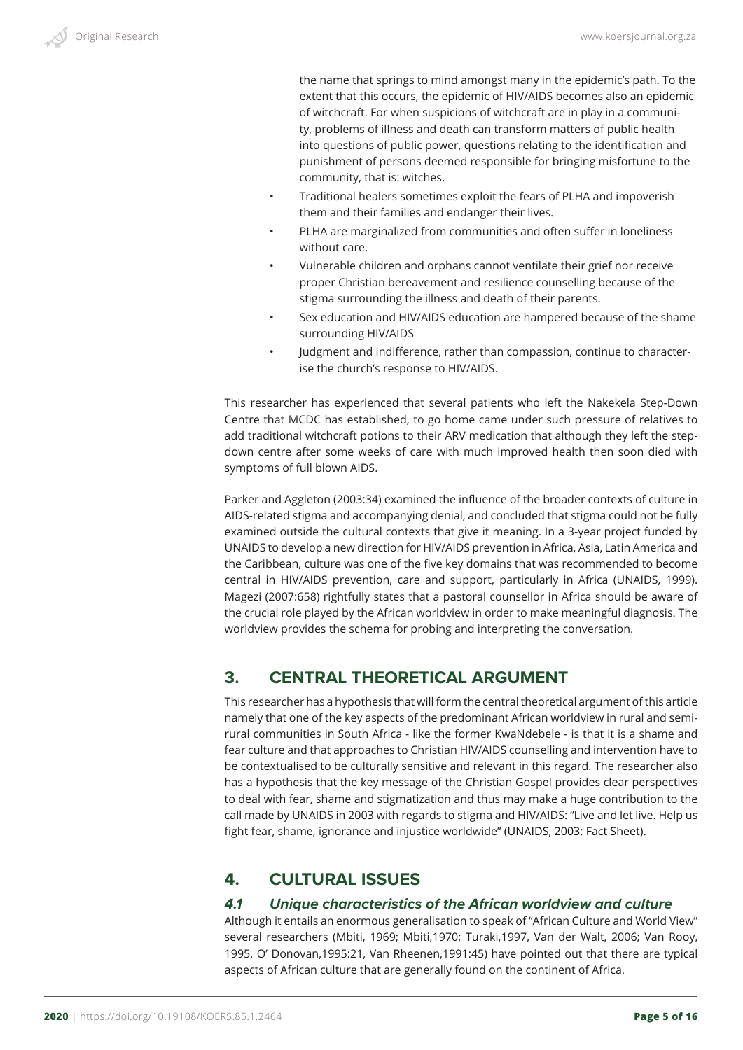the name that springs to mind amongst many in the epidemic's path. To the extent that this occurs, the epidemic of HIV/AIDS becomes also an epidemic of witchcraft. For when suspicions of witchcraft are in play in a community, problems of illness and death can transform matters of public health into questions of public power, questions relating to the identification and punishment of persons deemed responsible for bringing misfortune to the community, that is: witches.

- Traditional healers sometimes exploit the fears of PLHA and impoverish them and their families and endanger their lives.
- PLHA are marginalized from communities and often suffer in loneliness without care.
- Vulnerable children and orphans cannot ventilate their grief nor receive proper Christian bereavement and resilience counselling because of the stigma surrounding the illness and death of their parents.
- Sex education and HIV/AIDS education are hampered because of the shame surrounding HIV/AIDS
- Judgment and indifference, rather than compassion, continue to characterise the church's response to HIV/AIDS.

This researcher has experienced that several patients who left the Nakekela Step-Down Centre that MCDC has established, to go home came under such pressure of relatives to add traditional witchcraft potions to their ARV medication that although they left the stepdown centre after some weeks of care with much improved health then soon died with symptoms of full blown AIDS.

Parker and Aggleton (2003:34) examined the influence of the broader contexts of culture in AIDS-related stigma and accompanying denial, and concluded that stigma could not be fully examined outside the cultural contexts that give it meaning. In a 3-year project funded by UNAIDS to develop a new direction for HIV/AIDS prevention in Africa, Asia, Latin America and the Caribbean, culture was one of the five key domains that was recommended to become central in HIV/AIDS prevention, care and support, particularly in Africa (UNAIDS, 1999). Magezi (2007:658) rightfully states that a pastoral counsellor in Africa should be aware of the crucial role played by the African worldview in order to make meaningful diagnosis. The worldview provides the schema for probing and interpreting the conversation.

## **3. CENTRAL THEORETICAL ARGUMENT**

This researcher has a hypothesis that will form the central theoretical argument of this article namely that one of the key aspects of the predominant African worldview in rural and semirural communities in South Africa - like the former KwaNdebele - is that it is a shame and fear culture and that approaches to Christian HIV/AIDS counselling and intervention have to be contextualised to be culturally sensitive and relevant in this regard. The researcher also has a hypothesis that the key message of the Christian Gospel provides clear perspectives to deal with fear, shame and stigmatization and thus may make a huge contribution to the call made by UNAIDS in 2003 with regards to stigma and HIV/AIDS: "Live and let live. Help us fight fear, shame, ignorance and injustice worldwide" (UNAIDS, 2003: Fact Sheet).

## **4. CULTURAL ISSUES**

#### *4.1 Unique characteristics of the African worldview and culture*

Although it entails an enormous generalisation to speak of "African Culture and World View" several researchers (Mbiti, 1969; Mbiti,1970; Turaki,1997, Van der Walt, 2006; Van Rooy, 1995, O' Donovan,1995:21, Van Rheenen,1991:45) have pointed out that there are typical aspects of African culture that are generally found on the continent of Africa.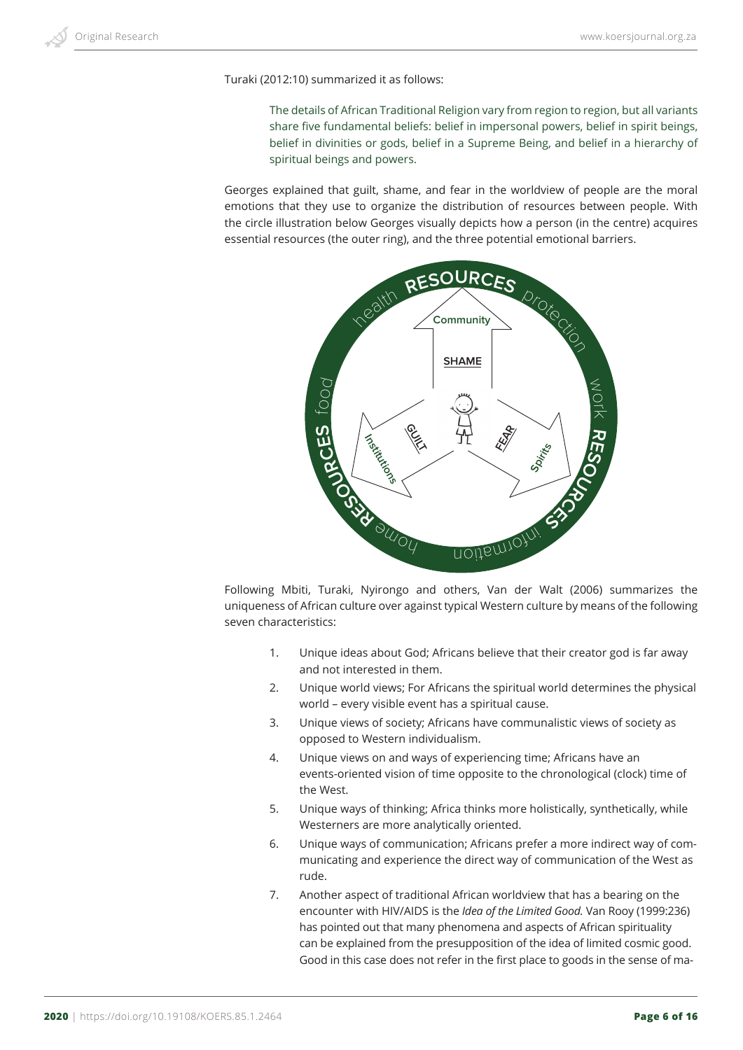Turaki (2012:10) summarized it as follows:

The details of African Traditional Religion vary from region to region, but all variants share five fundamental beliefs: belief in impersonal powers, belief in spirit beings, belief in divinities or gods, belief in a Supreme Being, and belief in a hierarchy of spiritual beings and powers.

Georges explained that guilt, shame, and fear in the worldview of people are the moral emotions that they use to organize the distribution of resources between people. With the circle illustration below Georges visually depicts how a person (in the centre) acquires essential resources (the outer ring), and the three potential emotional barriers.



Following Mbiti, Turaki, Nyirongo and others, Van der Walt (2006) summarizes the uniqueness of African culture over against typical Western culture by means of the following seven characteristics:

- 1. Unique ideas about God; Africans believe that their creator god is far away and not interested in them.
- 2. Unique world views; For Africans the spiritual world determines the physical world – every visible event has a spiritual cause.
- 3. Unique views of society; Africans have communalistic views of society as opposed to Western individualism.
- 4. Unique views on and ways of experiencing time; Africans have an events-oriented vision of time opposite to the chronological (clock) time of the West.
- 5. Unique ways of thinking; Africa thinks more holistically, synthetically, while Westerners are more analytically oriented.
- 6. Unique ways of communication; Africans prefer a more indirect way of communicating and experience the direct way of communication of the West as rude.
- 7. Another aspect of traditional African worldview that has a bearing on the encounter with HIV/AIDS is the *Idea of the Limited Good.* Van Rooy (1999:236) has pointed out that many phenomena and aspects of African spirituality can be explained from the presupposition of the idea of limited cosmic good. Good in this case does not refer in the first place to goods in the sense of ma-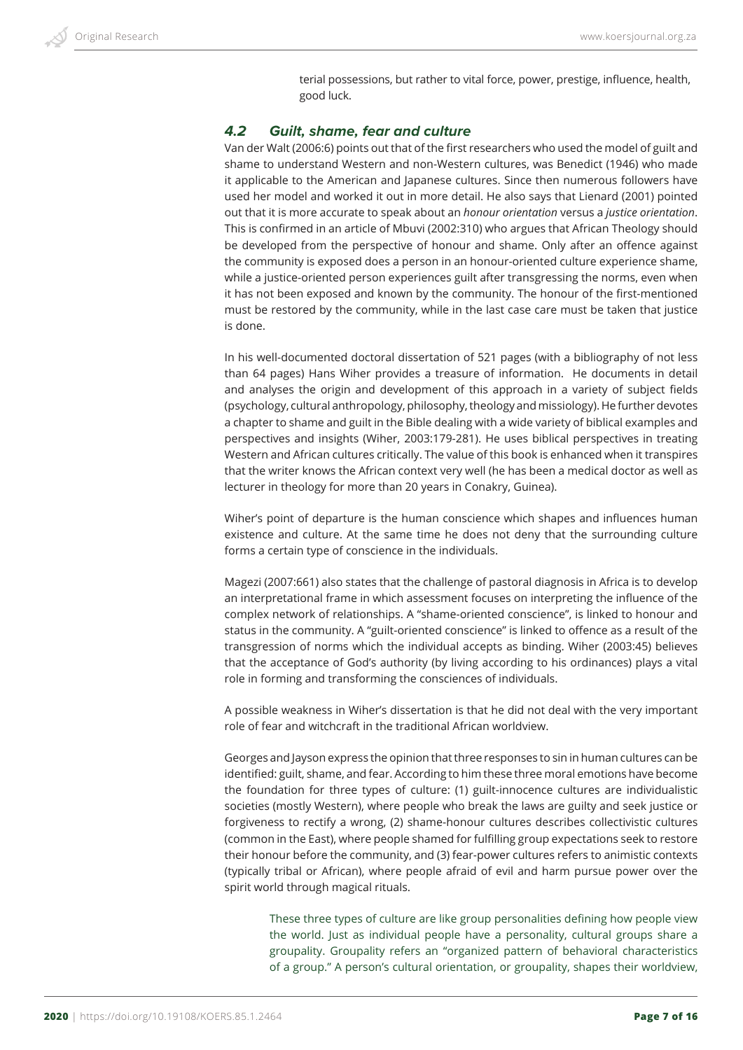terial possessions, but rather to vital force, power, prestige, influence, health, good luck.

## *4.2 Guilt, shame, fear and culture*

Van der Walt (2006:6) points out that of the first researchers who used the model of guilt and shame to understand Western and non-Western cultures, was Benedict (1946) who made it applicable to the American and Japanese cultures. Since then numerous followers have used her model and worked it out in more detail. He also says that Lienard (2001) pointed out that it is more accurate to speak about an *honour orientation* versus a *justice orientation*. This is confirmed in an article of Mbuvi (2002:310) who argues that African Theology should be developed from the perspective of honour and shame. Only after an offence against the community is exposed does a person in an honour-oriented culture experience shame, while a justice-oriented person experiences guilt after transgressing the norms, even when it has not been exposed and known by the community. The honour of the first-mentioned must be restored by the community, while in the last case care must be taken that justice is done.

In his well-documented doctoral dissertation of 521 pages (with a bibliography of not less than 64 pages) Hans Wiher provides a treasure of information. He documents in detail and analyses the origin and development of this approach in a variety of subject fields (psychology, cultural anthropology, philosophy, theology and missiology). He further devotes a chapter to shame and guilt in the Bible dealing with a wide variety of biblical examples and perspectives and insights (Wiher, 2003:179-281). He uses biblical perspectives in treating Western and African cultures critically. The value of this book is enhanced when it transpires that the writer knows the African context very well (he has been a medical doctor as well as lecturer in theology for more than 20 years in Conakry, Guinea).

Wiher's point of departure is the human conscience which shapes and influences human existence and culture. At the same time he does not deny that the surrounding culture forms a certain type of conscience in the individuals.

Magezi (2007:661) also states that the challenge of pastoral diagnosis in Africa is to develop an interpretational frame in which assessment focuses on interpreting the influence of the complex network of relationships. A "shame-oriented conscience", is linked to honour and status in the community. A "guilt-oriented conscience" is linked to offence as a result of the transgression of norms which the individual accepts as binding. Wiher (2003:45) believes that the acceptance of God's authority (by living according to his ordinances) plays a vital role in forming and transforming the consciences of individuals.

A possible weakness in Wiher's dissertation is that he did not deal with the very important role of fear and witchcraft in the traditional African worldview.

Georges and Jayson express the opinion that three responses to sin in human cultures can be identified: guilt, shame, and fear. According to him these three moral emotions have become the foundation for three types of culture: (1) guilt-innocence cultures are individualistic societies (mostly Western), where people who break the laws are guilty and seek justice or forgiveness to rectify a wrong, (2) shame-honour cultures describes collectivistic cultures (common in the East), where people shamed for fulfilling group expectations seek to restore their honour before the community, and (3) fear-power cultures refers to animistic contexts (typically tribal or African), where people afraid of evil and harm pursue power over the spirit world through magical rituals.

These three types of culture are like group personalities defining how people view the world. Just as individual people have a personality, cultural groups share a groupality. Groupality refers an "organized pattern of behavioral characteristics of a group." A person's cultural orientation, or groupality, shapes their worldview,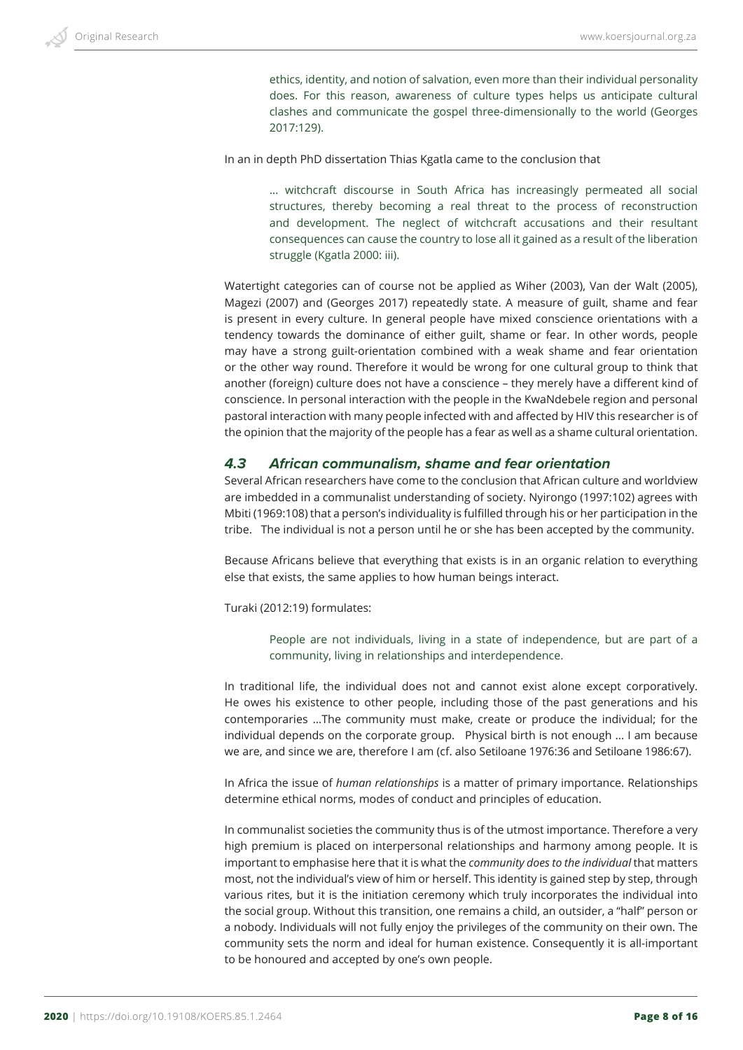ethics, identity, and notion of salvation, even more than their individual personality does. For this reason, awareness of culture types helps us anticipate cultural clashes and communicate the gospel three-dimensionally to the world (Georges 2017:129).

In an in depth PhD dissertation Thias Kgatla came to the conclusion that

… witchcraft discourse in South Africa has increasingly permeated all social structures, thereby becoming a real threat to the process of reconstruction and development. The neglect of witchcraft accusations and their resultant consequences can cause the country to lose all it gained as a result of the liberation struggle (Kgatla 2000: iii).

Watertight categories can of course not be applied as Wiher (2003), Van der Walt (2005), Magezi (2007) and (Georges 2017) repeatedly state. A measure of guilt, shame and fear is present in every culture. In general people have mixed conscience orientations with a tendency towards the dominance of either guilt, shame or fear. In other words, people may have a strong guilt-orientation combined with a weak shame and fear orientation or the other way round. Therefore it would be wrong for one cultural group to think that another (foreign) culture does not have a conscience – they merely have a different kind of conscience. In personal interaction with the people in the KwaNdebele region and personal pastoral interaction with many people infected with and affected by HIV this researcher is of the opinion that the majority of the people has a fear as well as a shame cultural orientation.

#### *4.3 African communalism, shame and fear orientation*

Several African researchers have come to the conclusion that African culture and worldview are imbedded in a communalist understanding of society. Nyirongo (1997:102) agrees with Mbiti (1969:108) that a person's individuality is fulfilled through his or her participation in the tribe. The individual is not a person until he or she has been accepted by the community.

Because Africans believe that everything that exists is in an organic relation to everything else that exists, the same applies to how human beings interact.

Turaki (2012:19) formulates:

People are not individuals, living in a state of independence, but are part of a community, living in relationships and interdependence.

In traditional life, the individual does not and cannot exist alone except corporatively. He owes his existence to other people, including those of the past generations and his contemporaries ...The community must make, create or produce the individual; for the individual depends on the corporate group. Physical birth is not enough ... I am because we are, and since we are, therefore I am (cf. also Setiloane 1976:36 and Setiloane 1986:67).

In Africa the issue of *human relationships* is a matter of primary importance. Relationships determine ethical norms, modes of conduct and principles of education.

In communalist societies the community thus is of the utmost importance. Therefore a very high premium is placed on interpersonal relationships and harmony among people. It is important to emphasise here that it is what the *community does to the individual* that matters most, not the individual's view of him or herself. This identity is gained step by step, through various rites, but it is the initiation ceremony which truly incorporates the individual into the social group. Without this transition, one remains a child, an outsider, a "half" person or a nobody. Individuals will not fully enjoy the privileges of the community on their own. The community sets the norm and ideal for human existence. Consequently it is all-important to be honoured and accepted by one's own people.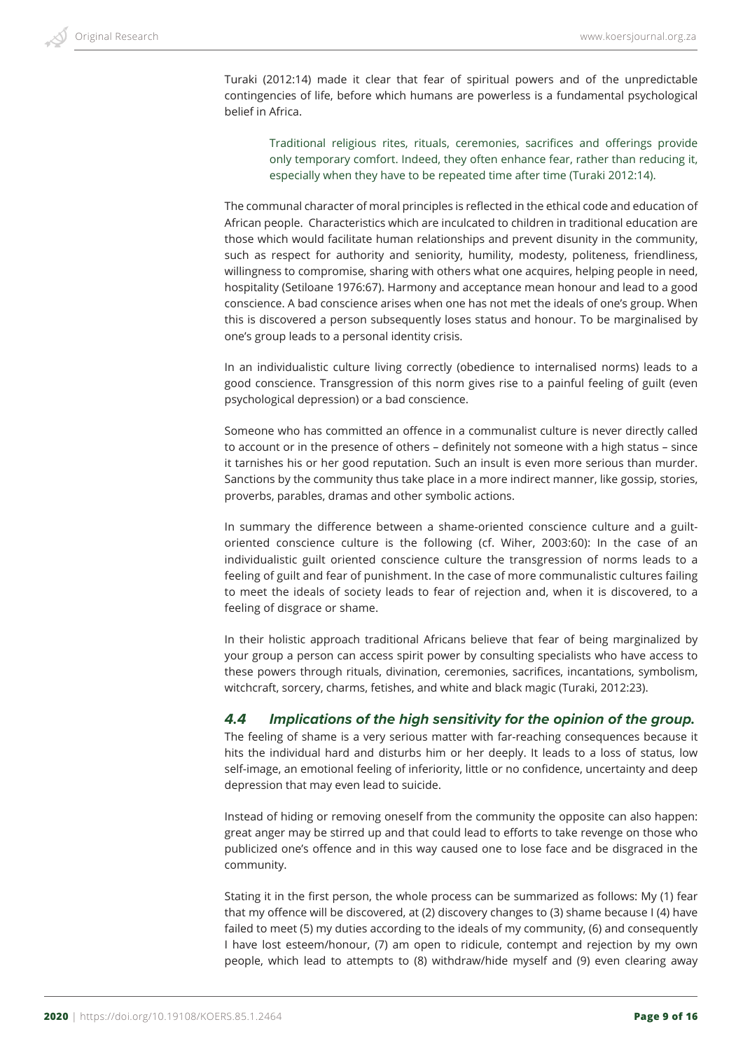Turaki (2012:14) made it clear that fear of spiritual powers and of the unpredictable contingencies of life, before which humans are powerless is a fundamental psychological belief in Africa.

Traditional religious rites, rituals, ceremonies, sacrifices and offerings provide only temporary comfort. Indeed, they often enhance fear, rather than reducing it, especially when they have to be repeated time after time (Turaki 2012:14).

The communal character of moral principles is reflected in the ethical code and education of African people. Characteristics which are inculcated to children in traditional education are those which would facilitate human relationships and prevent disunity in the community, such as respect for authority and seniority, humility, modesty, politeness, friendliness, willingness to compromise, sharing with others what one acquires, helping people in need, hospitality (Setiloane 1976:67). Harmony and acceptance mean honour and lead to a good conscience. A bad conscience arises when one has not met the ideals of one's group. When this is discovered a person subsequently loses status and honour. To be marginalised by one's group leads to a personal identity crisis.

In an individualistic culture living correctly (obedience to internalised norms) leads to a good conscience. Transgression of this norm gives rise to a painful feeling of guilt (even psychological depression) or a bad conscience.

Someone who has committed an offence in a communalist culture is never directly called to account or in the presence of others – definitely not someone with a high status – since it tarnishes his or her good reputation. Such an insult is even more serious than murder. Sanctions by the community thus take place in a more indirect manner, like gossip, stories, proverbs, parables, dramas and other symbolic actions.

In summary the difference between a shame-oriented conscience culture and a guiltoriented conscience culture is the following (cf. Wiher, 2003:60): In the case of an individualistic guilt oriented conscience culture the transgression of norms leads to a feeling of guilt and fear of punishment. In the case of more communalistic cultures failing to meet the ideals of society leads to fear of rejection and, when it is discovered, to a feeling of disgrace or shame.

In their holistic approach traditional Africans believe that fear of being marginalized by your group a person can access spirit power by consulting specialists who have access to these powers through rituals, divination, ceremonies, sacrifices, incantations, symbolism, witchcraft, sorcery, charms, fetishes, and white and black magic (Turaki, 2012:23).

#### *4.4 Implications of the high sensitivity for the opinion of the group.*

The feeling of shame is a very serious matter with far-reaching consequences because it hits the individual hard and disturbs him or her deeply. It leads to a loss of status, low self-image, an emotional feeling of inferiority, little or no confidence, uncertainty and deep depression that may even lead to suicide.

Instead of hiding or removing oneself from the community the opposite can also happen: great anger may be stirred up and that could lead to efforts to take revenge on those who publicized one's offence and in this way caused one to lose face and be disgraced in the community.

Stating it in the first person, the whole process can be summarized as follows: My (1) fear that my offence will be discovered, at (2) discovery changes to (3) shame because I (4) have failed to meet (5) my duties according to the ideals of my community, (6) and consequently I have lost esteem/honour, (7) am open to ridicule, contempt and rejection by my own people, which lead to attempts to (8) withdraw/hide myself and (9) even clearing away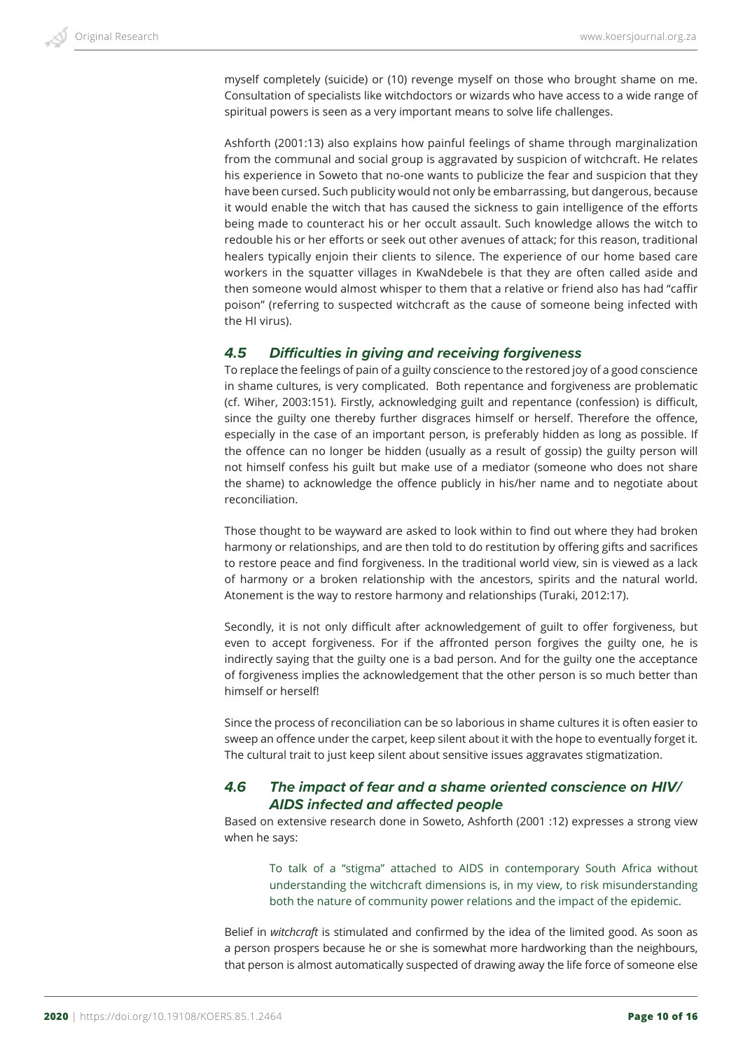myself completely (suicide) or (10) revenge myself on those who brought shame on me. Consultation of specialists like witchdoctors or wizards who have access to a wide range of spiritual powers is seen as a very important means to solve life challenges.

Ashforth (2001:13) also explains how painful feelings of shame through marginalization from the communal and social group is aggravated by suspicion of witchcraft. He relates his experience in Soweto that no-one wants to publicize the fear and suspicion that they have been cursed. Such publicity would not only be embarrassing, but dangerous, because it would enable the witch that has caused the sickness to gain intelligence of the efforts being made to counteract his or her occult assault. Such knowledge allows the witch to redouble his or her efforts or seek out other avenues of attack; for this reason, traditional healers typically enjoin their clients to silence. The experience of our home based care workers in the squatter villages in KwaNdebele is that they are often called aside and then someone would almost whisper to them that a relative or friend also has had "caffir poison" (referring to suspected witchcraft as the cause of someone being infected with the HI virus).

## *4.5 Difficulties in giving and receiving forgiveness*

To replace the feelings of pain of a guilty conscience to the restored joy of a good conscience in shame cultures, is very complicated. Both repentance and forgiveness are problematic (cf. Wiher, 2003:151). Firstly, acknowledging guilt and repentance (confession) is difficult, since the guilty one thereby further disgraces himself or herself. Therefore the offence, especially in the case of an important person, is preferably hidden as long as possible. If the offence can no longer be hidden (usually as a result of gossip) the guilty person will not himself confess his guilt but make use of a mediator (someone who does not share the shame) to acknowledge the offence publicly in his/her name and to negotiate about reconciliation.

Those thought to be wayward are asked to look within to find out where they had broken harmony or relationships, and are then told to do restitution by offering gifts and sacrifices to restore peace and find forgiveness. In the traditional world view, sin is viewed as a lack of harmony or a broken relationship with the ancestors, spirits and the natural world. Atonement is the way to restore harmony and relationships (Turaki, 2012:17).

Secondly, it is not only difficult after acknowledgement of guilt to offer forgiveness, but even to accept forgiveness. For if the affronted person forgives the guilty one, he is indirectly saying that the guilty one is a bad person. And for the guilty one the acceptance of forgiveness implies the acknowledgement that the other person is so much better than himself or herself!

Since the process of reconciliation can be so laborious in shame cultures it is often easier to sweep an offence under the carpet, keep silent about it with the hope to eventually forget it. The cultural trait to just keep silent about sensitive issues aggravates stigmatization.

## *4.6 The impact of fear and a shame oriented conscience on HIV/ AIDS infected and affected people*

Based on extensive research done in Soweto, Ashforth (2001 :12) expresses a strong view when he says:

To talk of a "stigma" attached to AIDS in contemporary South Africa without understanding the witchcraft dimensions is, in my view, to risk misunderstanding both the nature of community power relations and the impact of the epidemic.

Belief in *witchcraft* is stimulated and confirmed by the idea of the limited good. As soon as a person prospers because he or she is somewhat more hardworking than the neighbours, that person is almost automatically suspected of drawing away the life force of someone else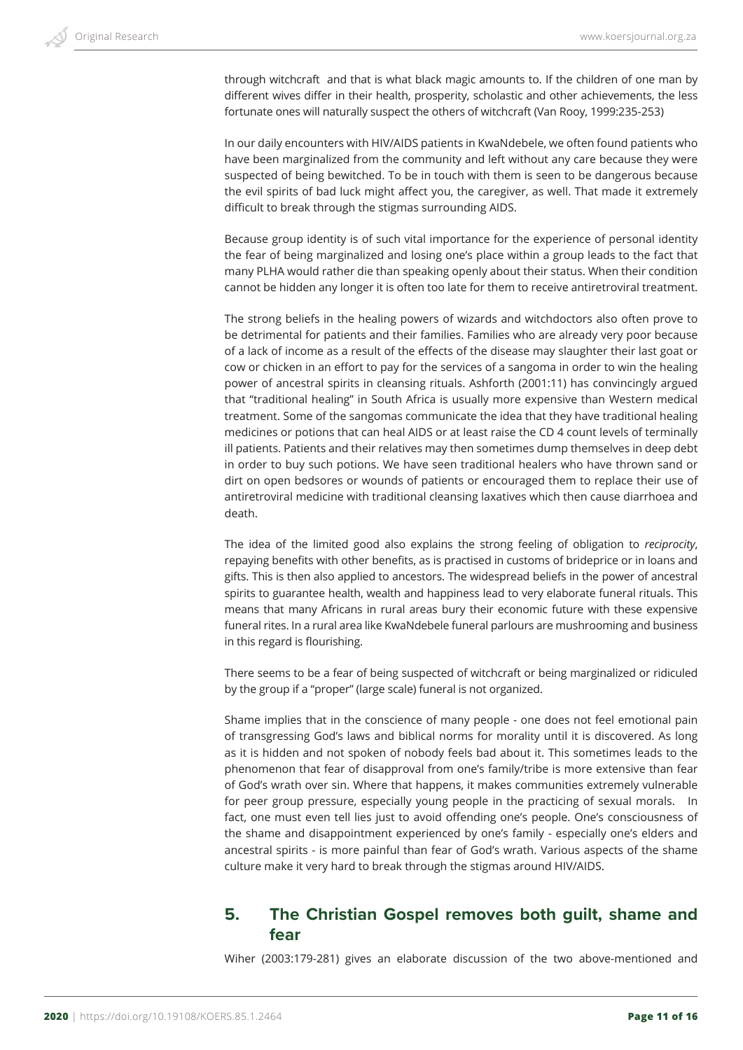through witchcraft and that is what black magic amounts to. If the children of one man by different wives differ in their health, prosperity, scholastic and other achievements, the less fortunate ones will naturally suspect the others of witchcraft (Van Rooy, 1999:235-253)

In our daily encounters with HIV/AIDS patients in KwaNdebele, we often found patients who have been marginalized from the community and left without any care because they were suspected of being bewitched. To be in touch with them is seen to be dangerous because the evil spirits of bad luck might affect you, the caregiver, as well. That made it extremely difficult to break through the stigmas surrounding AIDS.

Because group identity is of such vital importance for the experience of personal identity the fear of being marginalized and losing one's place within a group leads to the fact that many PLHA would rather die than speaking openly about their status. When their condition cannot be hidden any longer it is often too late for them to receive antiretroviral treatment.

The strong beliefs in the healing powers of wizards and witchdoctors also often prove to be detrimental for patients and their families. Families who are already very poor because of a lack of income as a result of the effects of the disease may slaughter their last goat or cow or chicken in an effort to pay for the services of a sangoma in order to win the healing power of ancestral spirits in cleansing rituals. Ashforth (2001:11) has convincingly argued that "traditional healing" in South Africa is usually more expensive than Western medical treatment. Some of the sangomas communicate the idea that they have traditional healing medicines or potions that can heal AIDS or at least raise the CD 4 count levels of terminally ill patients. Patients and their relatives may then sometimes dump themselves in deep debt in order to buy such potions. We have seen traditional healers who have thrown sand or dirt on open bedsores or wounds of patients or encouraged them to replace their use of antiretroviral medicine with traditional cleansing laxatives which then cause diarrhoea and death.

The idea of the limited good also explains the strong feeling of obligation to *reciprocity*, repaying benefits with other benefits, as is practised in customs of brideprice or in loans and gifts. This is then also applied to ancestors. The widespread beliefs in the power of ancestral spirits to guarantee health, wealth and happiness lead to very elaborate funeral rituals. This means that many Africans in rural areas bury their economic future with these expensive funeral rites. In a rural area like KwaNdebele funeral parlours are mushrooming and business in this regard is flourishing.

There seems to be a fear of being suspected of witchcraft or being marginalized or ridiculed by the group if a "proper" (large scale) funeral is not organized.

Shame implies that in the conscience of many people - one does not feel emotional pain of transgressing God's laws and biblical norms for morality until it is discovered. As long as it is hidden and not spoken of nobody feels bad about it. This sometimes leads to the phenomenon that fear of disapproval from one's family/tribe is more extensive than fear of God's wrath over sin. Where that happens, it makes communities extremely vulnerable for peer group pressure, especially young people in the practicing of sexual morals. In fact, one must even tell lies just to avoid offending one's people. One's consciousness of the shame and disappointment experienced by one's family - especially one's elders and ancestral spirits - is more painful than fear of God's wrath. Various aspects of the shame culture make it very hard to break through the stigmas around HIV/AIDS.

## **5. The Christian Gospel removes both guilt, shame and fear**

Wiher (2003:179-281) gives an elaborate discussion of the two above-mentioned and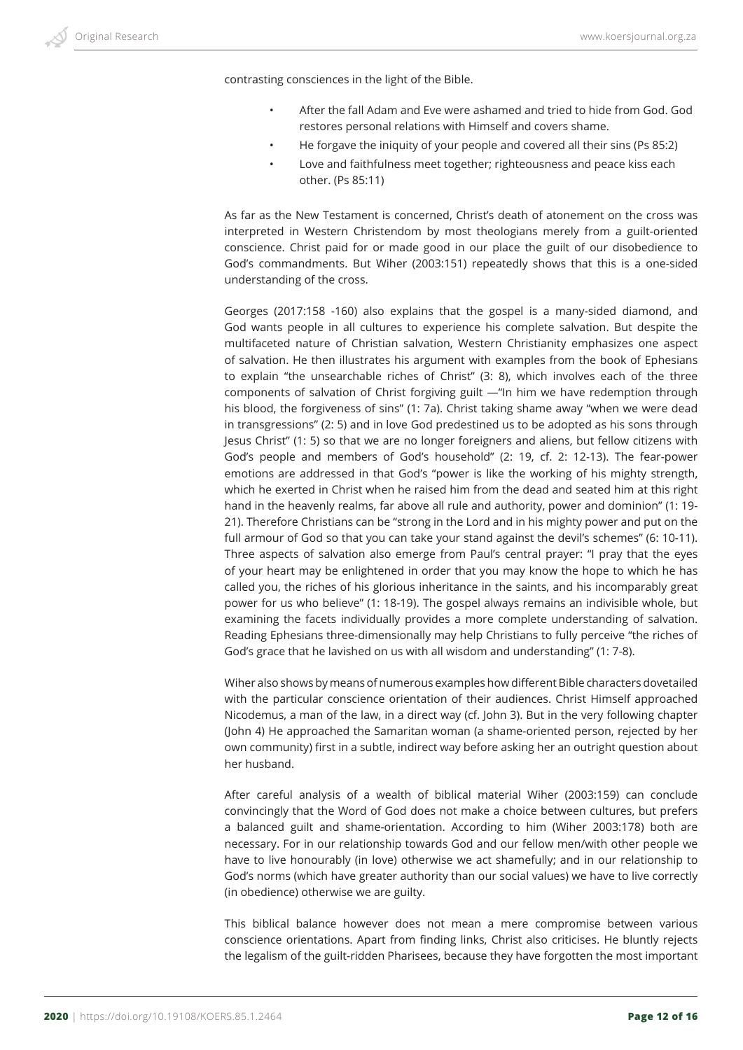contrasting consciences in the light of the Bible.

- After the fall Adam and Eve were ashamed and tried to hide from God. God restores personal relations with Himself and covers shame.
- He forgave the iniquity of your people and covered all their sins (Ps 85:2)
- Love and faithfulness meet together; righteousness and peace kiss each other. (Ps 85:11)

As far as the New Testament is concerned, Christ's death of atonement on the cross was interpreted in Western Christendom by most theologians merely from a guilt-oriented conscience. Christ paid for or made good in our place the guilt of our disobedience to God's commandments. But Wiher (2003:151) repeatedly shows that this is a one-sided understanding of the cross.

Georges (2017:158 -160) also explains that the gospel is a many-sided diamond, and God wants people in all cultures to experience his complete salvation. But despite the multifaceted nature of Christian salvation, Western Christianity emphasizes one aspect of salvation. He then illustrates his argument with examples from the book of Ephesians to explain "the unsearchable riches of Christ" (3: 8), which involves each of the three components of salvation of Christ forgiving guilt —"In him we have redemption through his blood, the forgiveness of sins" (1: 7a). Christ taking shame away "when we were dead in transgressions" (2: 5) and in love God predestined us to be adopted as his sons through Jesus Christ" (1: 5) so that we are no longer foreigners and aliens, but fellow citizens with God's people and members of God's household" (2: 19, cf. 2: 12-13). The fear-power emotions are addressed in that God's "power is like the working of his mighty strength, which he exerted in Christ when he raised him from the dead and seated him at this right hand in the heavenly realms, far above all rule and authority, power and dominion" (1: 19- 21). Therefore Christians can be "strong in the Lord and in his mighty power and put on the full armour of God so that you can take your stand against the devil's schemes" (6: 10-11). Three aspects of salvation also emerge from Paul's central prayer: "I pray that the eyes of your heart may be enlightened in order that you may know the hope to which he has called you, the riches of his glorious inheritance in the saints, and his incomparably great power for us who believe" (1: 18-19). The gospel always remains an indivisible whole, but examining the facets individually provides a more complete understanding of salvation. Reading Ephesians three-dimensionally may help Christians to fully perceive "the riches of God's grace that he lavished on us with all wisdom and understanding" (1: 7-8).

Wiher also shows by means of numerous examples how different Bible characters dovetailed with the particular conscience orientation of their audiences. Christ Himself approached Nicodemus, a man of the law, in a direct way (cf. John 3). But in the very following chapter (John 4) He approached the Samaritan woman (a shame-oriented person, rejected by her own community) first in a subtle, indirect way before asking her an outright question about her husband.

After careful analysis of a wealth of biblical material Wiher (2003:159) can conclude convincingly that the Word of God does not make a choice between cultures, but prefers a balanced guilt and shame-orientation. According to him (Wiher 2003:178) both are necessary. For in our relationship towards God and our fellow men/with other people we have to live honourably (in love) otherwise we act shamefully; and in our relationship to God's norms (which have greater authority than our social values) we have to live correctly (in obedience) otherwise we are guilty.

This biblical balance however does not mean a mere compromise between various conscience orientations. Apart from finding links, Christ also criticises. He bluntly rejects the legalism of the guilt-ridden Pharisees, because they have forgotten the most important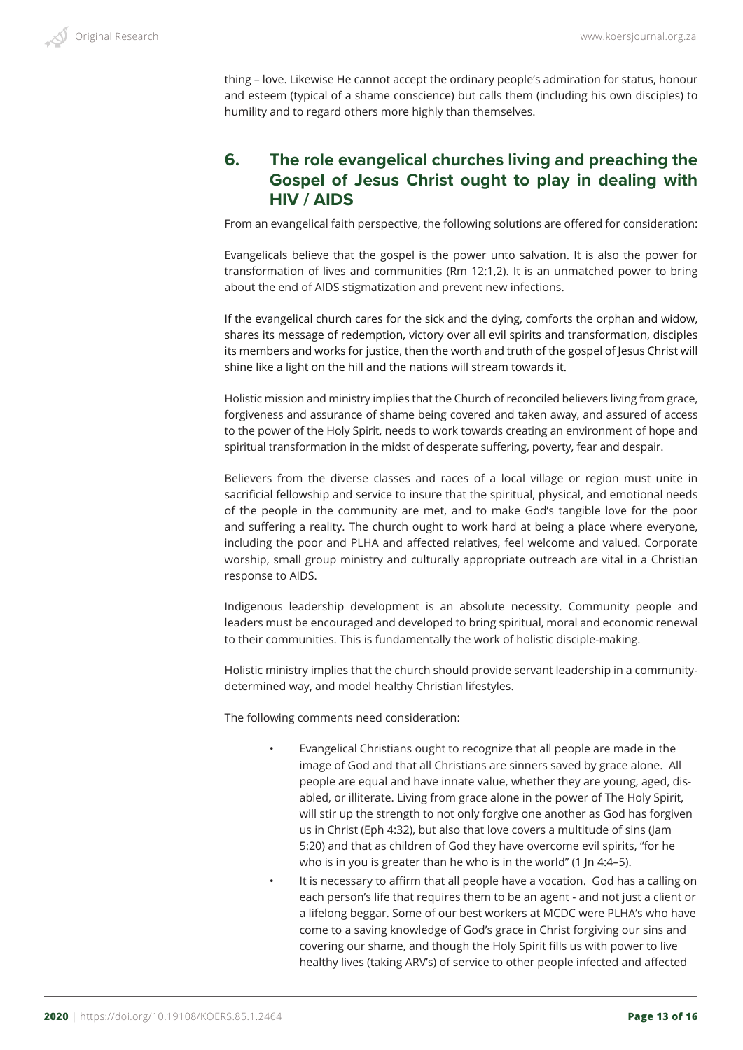thing – love. Likewise He cannot accept the ordinary people's admiration for status, honour and esteem (typical of a shame conscience) but calls them (including his own disciples) to humility and to regard others more highly than themselves.

## **6. The role evangelical churches living and preaching the Gospel of Jesus Christ ought to play in dealing with HIV / AIDS**

From an evangelical faith perspective, the following solutions are offered for consideration:

Evangelicals believe that the gospel is the power unto salvation. It is also the power for transformation of lives and communities (Rm 12:1,2). It is an unmatched power to bring about the end of AIDS stigmatization and prevent new infections.

If the evangelical church cares for the sick and the dying, comforts the orphan and widow, shares its message of redemption, victory over all evil spirits and transformation, disciples its members and works for justice, then the worth and truth of the gospel of Jesus Christ will shine like a light on the hill and the nations will stream towards it.

Holistic mission and ministry implies that the Church of reconciled believers living from grace, forgiveness and assurance of shame being covered and taken away, and assured of access to the power of the Holy Spirit, needs to work towards creating an environment of hope and spiritual transformation in the midst of desperate suffering, poverty, fear and despair.

Believers from the diverse classes and races of a local village or region must unite in sacrificial fellowship and service to insure that the spiritual, physical, and emotional needs of the people in the community are met, and to make God's tangible love for the poor and suffering a reality. The church ought to work hard at being a place where everyone, including the poor and PLHA and affected relatives, feel welcome and valued. Corporate worship, small group ministry and culturally appropriate outreach are vital in a Christian response to AIDS.

Indigenous leadership development is an absolute necessity. Community people and leaders must be encouraged and developed to bring spiritual, moral and economic renewal to their communities. This is fundamentally the work of holistic disciple-making.

Holistic ministry implies that the church should provide servant leadership in a communitydetermined way, and model healthy Christian lifestyles.

The following comments need consideration:

- Evangelical Christians ought to recognize that all people are made in the image of God and that all Christians are sinners saved by grace alone. All people are equal and have innate value, whether they are young, aged, disabled, or illiterate. Living from grace alone in the power of The Holy Spirit, will stir up the strength to not only forgive one another as God has forgiven us in Christ (Eph 4:32), but also that love covers a multitude of sins (Jam 5:20) and that as children of God they have overcome evil spirits, "for he who is in you is greater than he who is in the world" (1 Jn 4:4–5).
- It is necessary to affirm that all people have a vocation. God has a calling on each person's life that requires them to be an agent - and not just a client or a lifelong beggar. Some of our best workers at MCDC were PLHA's who have come to a saving knowledge of God's grace in Christ forgiving our sins and covering our shame, and though the Holy Spirit fills us with power to live healthy lives (taking ARV's) of service to other people infected and affected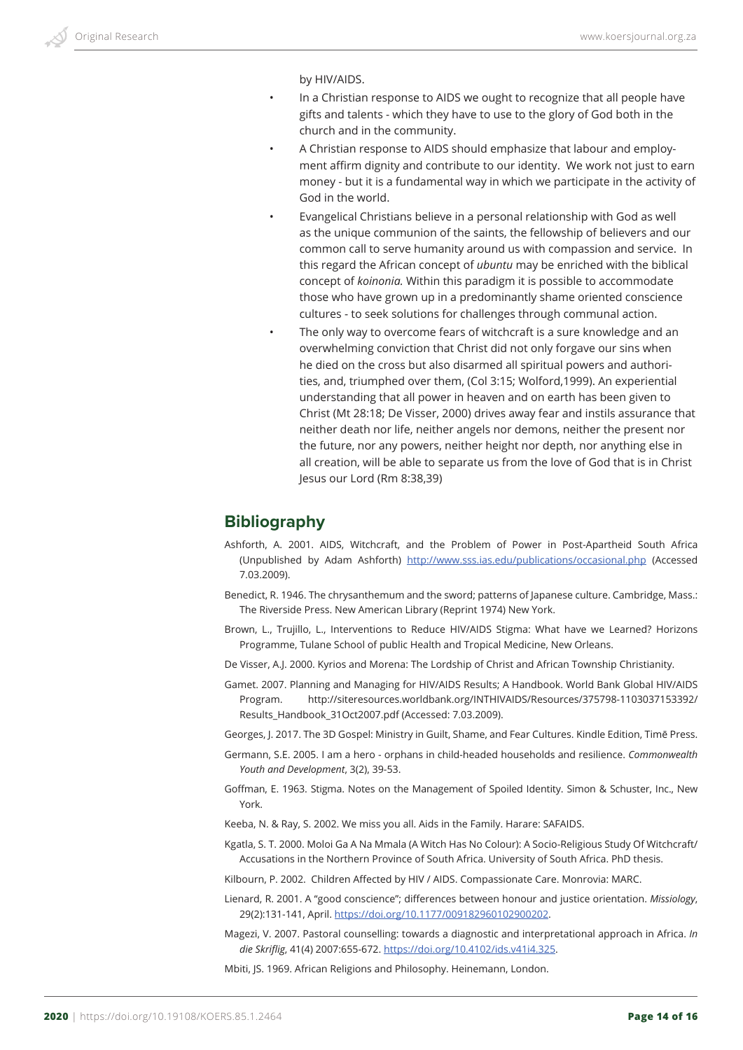by HIV/AIDS.

- In a Christian response to AIDS we ought to recognize that all people have gifts and talents - which they have to use to the glory of God both in the church and in the community.
- A Christian response to AIDS should emphasize that labour and employment affirm dignity and contribute to our identity. We work not just to earn money - but it is a fundamental way in which we participate in the activity of God in the world.
- Evangelical Christians believe in a personal relationship with God as well as the unique communion of the saints, the fellowship of believers and our common call to serve humanity around us with compassion and service. In this regard the African concept of *ubuntu* may be enriched with the biblical concept of *koinonia.* Within this paradigm it is possible to accommodate those who have grown up in a predominantly shame oriented conscience cultures - to seek solutions for challenges through communal action.
- The only way to overcome fears of witchcraft is a sure knowledge and an overwhelming conviction that Christ did not only forgave our sins when he died on the cross but also disarmed all spiritual powers and authorities, and, triumphed over them, (Col 3:15; Wolford,1999). An experiential understanding that all power in heaven and on earth has been given to Christ (Mt 28:18; De Visser, 2000) drives away fear and instils assurance that neither death nor life, neither angels nor demons, neither the present nor the future, nor any powers, neither height nor depth, nor anything else in all creation, will be able to separate us from the love of God that is in Christ Jesus our Lord (Rm 8:38,39)

## **Bibliography**

- Ashforth, A. 2001. AIDS, Witchcraft, and the Problem of Power in Post-Apartheid South Africa (Unpublished by Adam Ashforth) http://www.sss.ias.edu/publications/occasional.php (Accessed 7.03.2009).
- Benedict, R. 1946. The chrysanthemum and the sword; patterns of Japanese culture. Cambridge, Mass.: The Riverside Press. New American Library (Reprint 1974) New York.
- Brown, L., Trujillo, L., Interventions to Reduce HIV/AIDS Stigma: What have we Learned? Horizons Programme, Tulane School of public Health and Tropical Medicine, New Orleans.
- De Visser, A.J. 2000. Kyrios and Morena: The Lordship of Christ and African Township Christianity.
- Gamet. 2007. Planning and Managing for HIV/AIDS Results; A Handbook. World Bank Global HIV/AIDS Program. http://siteresources.worldbank.org/INTHIVAIDS/Resources/375798-1103037153392/ Results\_Handbook\_31Oct2007.pdf (Accessed: 7.03.2009).
- Georges, J. 2017. The 3D Gospel: Ministry in Guilt, Shame, and Fear Cultures. Kindle Edition, Timē Press.
- Germann, S.E. 2005. I am a hero orphans in child-headed households and resilience. *Commonwealth Youth and Development*, 3(2), 39-53.
- Goffman, E. 1963. Stigma. Notes on the Management of Spoiled Identity. Simon & Schuster, Inc., New York.
- Keeba, N. & Ray, S. 2002. We miss you all. Aids in the Family. Harare: SAFAIDS.
- Kgatla, S. T. 2000. Moloi Ga A Na Mmala (A Witch Has No Colour): A Socio-Religious Study Of Witchcraft/ Accusations in the Northern Province of South Africa. University of South Africa. PhD thesis.
- Kilbourn, P. 2002. Children Affected by HIV / AIDS. Compassionate Care. Monrovia: MARC.
- Lienard, R. 2001. A "good conscience"; differences between honour and justice orientation. *Missiology*, 29(2):131-141, April. https://doi.org/10.1177/009182960102900202.
- Magezi, V. 2007. Pastoral counselling: towards a diagnostic and interpretational approach in Africa. *In die Skriflig*, 41(4) 2007:655-672. https://doi.org/10.4102/ids.v41i4.325.
- Mbiti, JS. 1969. African Religions and Philosophy. Heinemann, London.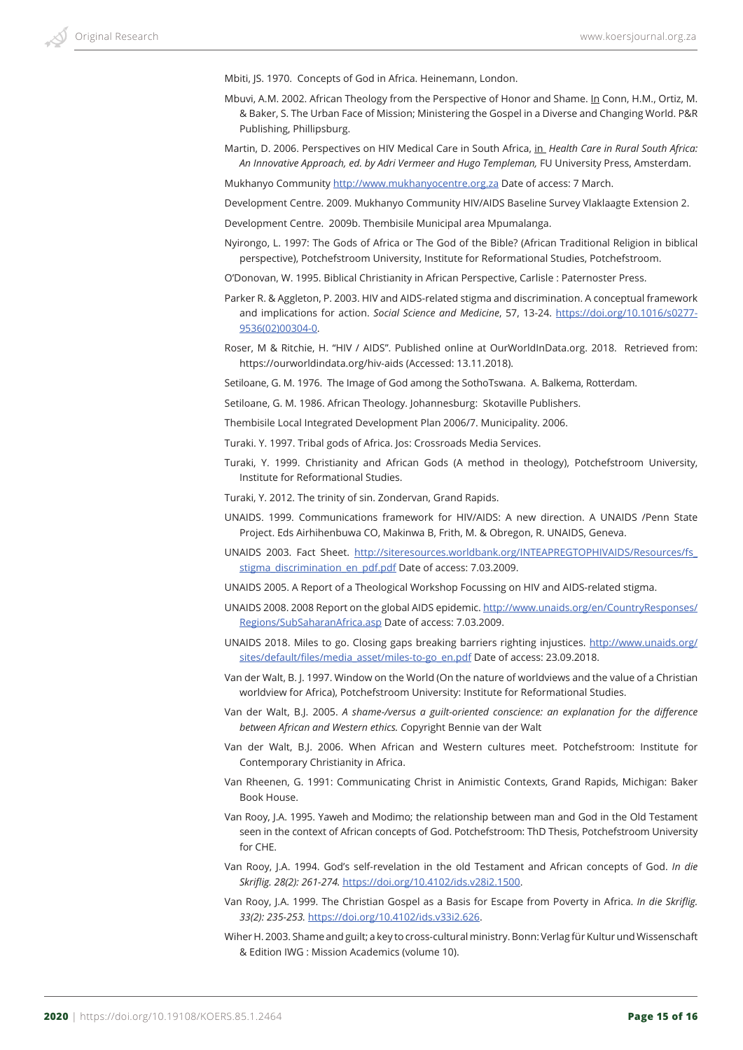Mbiti, JS. 1970. Concepts of God in Africa. Heinemann, London.

- Mbuvi, A.M. 2002. African Theology from the Perspective of Honor and Shame. In Conn, H.M., Ortiz, M. & Baker, S. The Urban Face of Mission; Ministering the Gospel in a Diverse and Changing World. P&R Publishing, Phillipsburg.
- Martin, D. 2006. Perspectives on HIV Medical Care in South Africa, in *Health Care in Rural South Africa: An Innovative Approach, ed. by Adri Vermeer and Hugo Templeman,* FU University Press, Amsterdam.

Mukhanyo Community http://www.mukhanyocentre.org.za Date of access: 7 March.

Development Centre. 2009. Mukhanyo Community HIV/AIDS Baseline Survey Vlaklaagte Extension 2.

Development Centre. 2009b. Thembisile Municipal area Mpumalanga.

- Nyirongo, L. 1997: The Gods of Africa or The God of the Bible? (African Traditional Religion in biblical perspective), Potchefstroom University, Institute for Reformational Studies, Potchefstroom.
- O'Donovan, W. 1995. Biblical Christianity in African Perspective, Carlisle : Paternoster Press.
- Parker R. & Aggleton, P. 2003. HIV and AIDS-related stigma and discrimination. A conceptual framework and implications for action. *Social Science and Medicine*, 57, 13-24. https://doi.org/10.1016/s0277- 9536(02)00304-0.
- Roser, M & Ritchie, H. "HIV / AIDS". Published online at OurWorldInData.org. 2018. Retrieved from: https://ourworldindata.org/hiv-aids (Accessed: 13.11.2018).

Setiloane, G. M. 1976. The Image of God among the SothoTswana. A. Balkema, Rotterdam.

Setiloane, G. M. 1986. African Theology. Johannesburg: Skotaville Publishers.

- Thembisile Local Integrated Development Plan 2006/7. Municipality. 2006.
- Turaki. Y. 1997. Tribal gods of Africa. Jos: Crossroads Media Services.
- Turaki, Y. 1999. Christianity and African Gods (A method in theology), Potchefstroom University, Institute for Reformational Studies.
- Turaki, Y. 2012. The trinity of sin. Zondervan, Grand Rapids.
- UNAIDS. 1999. Communications framework for HIV/AIDS: A new direction. A UNAIDS /Penn State Project. Eds Airhihenbuwa CO, Makinwa B, Frith, M. & Obregon, R. UNAIDS, Geneva.
- UNAIDS 2003. Fact Sheet. http://siteresources.worldbank.org/INTEAPREGTOPHIVAIDS/Resources/fs\_ stigma\_discrimination\_en\_pdf.pdf Date of access: 7.03.2009.

UNAIDS 2005. A Report of a Theological Workshop Focussing on HIV and AIDS-related stigma.

- UNAIDS 2008. 2008 Report on the global AIDS epidemic. http://www.unaids.org/en/CountryResponses/ Regions/SubSaharanAfrica.asp Date of access: 7.03.2009.
- UNAIDS 2018. Miles to go. Closing gaps breaking barriers righting injustices. http://www.unaids.org/ sites/default/files/media\_asset/miles-to-go\_en.pdf Date of access: 23.09.2018.
- Van der Walt, B. J. 1997. Window on the World (On the nature of worldviews and the value of a Christian worldview for Africa), Potchefstroom University: Institute for Reformational Studies.
- Van der Walt, B.J. 2005. *A shame-/versus a guilt-oriented conscience: an explanation for the difference between African and Western ethics. C*opyright Bennie van der Walt
- Van der Walt, B.J. 2006. When African and Western cultures meet. Potchefstroom: Institute for Contemporary Christianity in Africa.
- Van Rheenen, G. 1991: Communicating Christ in Animistic Contexts, Grand Rapids, Michigan: Baker Book House.
- Van Rooy, J.A. 1995. Yaweh and Modimo; the relationship between man and God in the Old Testament seen in the context of African concepts of God. Potchefstroom: ThD Thesis, Potchefstroom University for CHE.
- Van Rooy, J.A. 1994. God's self-revelation in the old Testament and African concepts of God. *In die Skriflig. 28(2): 261-274.* https://doi.org/10.4102/ids.v28i2.1500.
- Van Rooy, J.A. 1999. The Christian Gospel as a Basis for Escape from Poverty in Africa. *In die Skriflig. 33(2): 235-253.* https://doi.org/10.4102/ids.v33i2.626.
- Wiher H. 2003. Shame and guilt; a key to cross-cultural ministry. Bonn: Verlag für Kultur und Wissenschaft & Edition IWG : Mission Academics (volume 10).